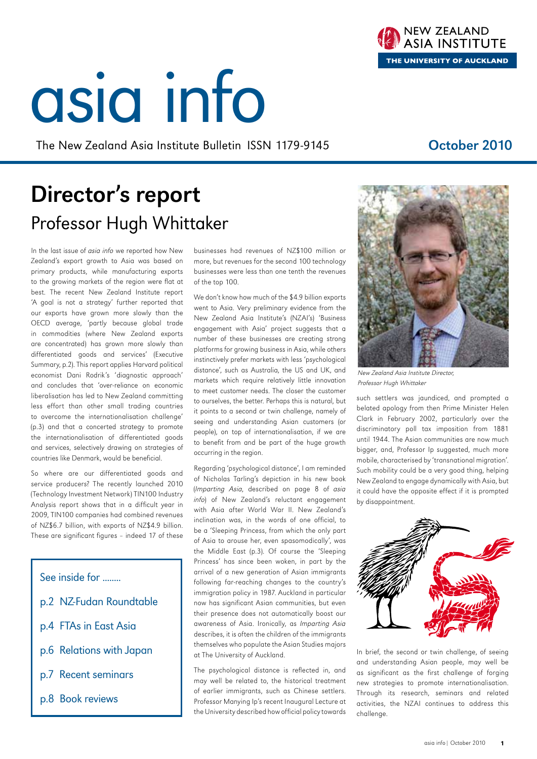# asia info

The New Zealand Asia Institute Bulletin ISSN 1179-9145 **October 2010** 

# Director's report Professor Hugh Whittaker

In the last issue of asia info we reported how New Zealand's export growth to Asia was based on primary products, while manufacturing exports to the growing markets of the region were flat at best. The recent New Zealand Institute report 'A goal is not a strategy' further reported that our exports have grown more slowly than the OECD average, 'partly because global trade in commodities (where New Zealand exports are concentrated) has grown more slowly than differentiated goods and services' (Executive Summary, p.2). This report applies Harvard political economist Dani Rodrik's 'diagnostic approach' and concludes that 'over-reliance on economic liberalisation has led to New Zealand committing less effort than other small trading countries to overcome the internationalisation challenge' (p.3) and that a concerted strategy to promote the internationalisation of differentiated goods and services, selectively drawing on strategies of countries like Denmark, would be beneficial.

So where are our differentiated goods and service producers? The recently launched 2010 (Technology Investment Network) TIN100 Industry Analysis report shows that in a difficult year in 2009, TIN100 companies had combined revenues of NZ\$6.7 billion, with exports of NZ\$4.9 billion. These are significant figures – indeed 17 of these

See inside for ........ p.2 NZ-Fudan Roundtable p.4 FTAs in East Asia p.6 Relations with Japan p.7 Recent seminars p.8 Book reviews

businesses had revenues of NZ\$100 million or more, but revenues for the second 100 technology businesses were less than one tenth the revenues of the top 100.

We don't know how much of the \$4.9 billion exports went to Asia. Very preliminary evidence from the New Zealand Asia Institute's (NZAI's) 'Business engagement with Asia' project suggests that a number of these businesses are creating strong platforms for growing business in Asia, while others instinctively prefer markets with less 'psychological distance', such as Australia, the US and UK, and markets which require relatively little innovation to meet customer needs. The closer the customer to ourselves, the better. Perhaps this is natural, but it points to a second or twin challenge, namely of seeing and understanding Asian customers (or people), on top of internationalisation, if we are to benefit from and be part of the huge growth occurring in the region.

Regarding 'psychological distance', I am reminded of Nicholas Tarling's depiction in his new book (Imparting Asia, described on page 8 of asia info) of New Zealand's reluctant engagement with Asia after World War II. New Zealand's inclination was, in the words of one official, to be a 'Sleeping Princess, from which the only part of Asia to arouse her, even spasomodically', was the Middle East (p.3). Of course the 'Sleeping Princess' has since been woken, in part by the arrival of a new generation of Asian immigrants following far-reaching changes to the country's immigration policy in 1987. Auckland in particular now has significant Asian communities, but even their presence does not automatically boost our awareness of Asia. Ironically, as Imparting Asia describes, it is often the children of the immigrants themselves who populate the Asian Studies majors at The University of Auckland.

The psychological distance is reflected in, and may well be related to, the historical treatment of earlier immigrants, such as Chinese settlers. Professor Manying Ip's recent Inaugural Lecture at the University described how official policy towards

New Zealand Asia Institute Director, Professor Hugh Whittaker

such settlers was jaundiced, and prompted a belated apology from then Prime Minister Helen Clark in February 2002, particularly over the discriminatory poll tax imposition from 1881 until 1944. The Asian communities are now much bigger, and, Professor Ip suggested, much more mobile, characterised by 'transnational migration'. Such mobility could be a very good thing, helping New Zealand to engage dynamically with Asia, but it could have the opposite effect if it is prompted by disappointment.



In brief, the second or twin challenge, of seeing and understanding Asian people, may well be as significant as the first challenge of forging new strategies to promote internationalisation. Through its research, seminars and related activities, the NZAI continues to address this

challenge.



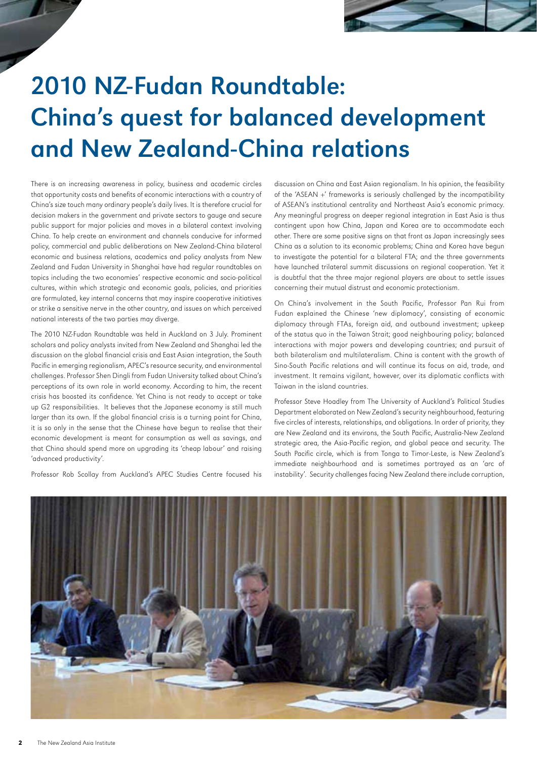

# 2010 NZ-Fudan Roundtable: China's quest for balanced development and New Zealand-China relations

There is an increasing awareness in policy, business and academic circles that opportunity costs and benefits of economic interactions with a country of China's size touch many ordinary people's daily lives. It is therefore crucial for decision makers in the government and private sectors to gauge and secure public support for major policies and moves in a bilateral context involving China. To help create an environment and channels conducive for informed policy, commercial and public deliberations on New Zealand-China bilateral economic and business relations, academics and policy analysts from New Zealand and Fudan University in Shanghai have had regular roundtables on topics including the two economies' respective economic and socio-political cultures, within which strategic and economic goals, policies, and priorities are formulated, key internal concerns that may inspire cooperative initiatives or strike a sensitive nerve in the other country, and issues on which perceived national interests of the two parties may diverge.

The 2010 NZ-Fudan Roundtable was held in Auckland on 3 July. Prominent scholars and policy analysts invited from New Zealand and Shanghai led the discussion on the global financial crisis and East Asian integration, the South Pacific in emerging regionalism, APEC's resource security, and environmental challenges. Professor Shen Dingli from Fudan University talked about China's perceptions of its own role in world economy. According to him, the recent crisis has boosted its confidence. Yet China is not ready to accept or take up G2 responsibilities. It believes that the Japanese economy is still much larger than its own. If the global financial crisis is a turning point for China, it is so only in the sense that the Chinese have begun to realise that their economic development is meant for consumption as well as savings, and that China should spend more on upgrading its 'cheap labour' and raising 'advanced productivity'.

Professor Rob Scollay from Auckland's APEC Studies Centre focused his

discussion on China and East Asian regionalism. In his opinion, the feasibility of the 'ASEAN +' frameworks is seriously challenged by the incompatibility of ASEAN's institutional centrality and Northeast Asia's economic primacy. Any meaningful progress on deeper regional integration in East Asia is thus contingent upon how China, Japan and Korea are to accommodate each other. There are some positive signs on that front as Japan increasingly sees China as a solution to its economic problems; China and Korea have begun to investigate the potential for a bilateral FTA; and the three governments have launched trilateral summit discussions on regional cooperation. Yet it is doubtful that the three major regional players are about to settle issues concerning their mutual distrust and economic protectionism.

On China's involvement in the South Pacific, Professor Pan Rui from Fudan explained the Chinese 'new diplomacy', consisting of economic diplomacy through FTAs, foreign aid, and outbound investment; upkeep of the status quo in the Taiwan Strait; good neighbouring policy; balanced interactions with major powers and developing countries; and pursuit of both bilateralism and multilateralism. China is content with the growth of Sino-South Pacific relations and will continue its focus on aid, trade, and investment. It remains vigilant, however, over its diplomatic conflicts with Taiwan in the island countries.

Professor Steve Hoadley from The University of Auckland's Political Studies Department elaborated on New Zealand's security neighbourhood, featuring five circles of interests, relationships, and obligations. In order of priority, they are New Zealand and its environs, the South Pacific, Australia-New Zealand strategic area, the Asia-Pacific region, and global peace and security. The South Pacific circle, which is from Tonga to Timor-Leste, is New Zealand's immediate neighbourhood and is sometimes portrayed as an 'arc of instability'. Security challenges facing New Zealand there include corruption,

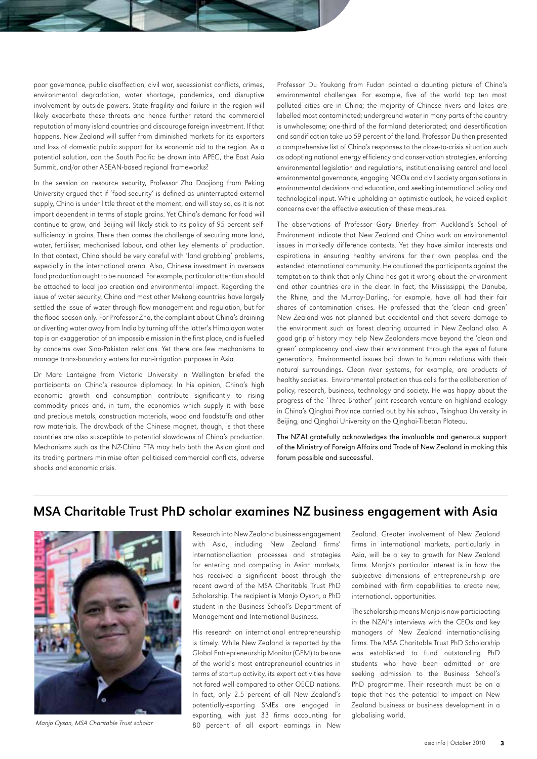poor governance, public disaffection, civil war, secessionist conflicts, crimes, environmental degradation, water shortage, pandemics, and disruptive involvement by outside powers. State fragility and failure in the region will likely exacerbate these threats and hence further retard the commercial reputation of many island countries and discourage foreign investment. If that happens, New Zealand will suffer from diminished markets for its exporters and loss of domestic public support for its economic aid to the region. As a potential solution, can the South Pacific be drawn into APEC, the East Asia Summit, and/or other ASEAN-based regional frameworks?

In the session on resource security, Professor Zha Daojiong from Peking University argued that if 'food security' is defined as uninterrupted external supply, China is under little threat at the moment, and will stay so, as it is not import dependent in terms of staple grains. Yet China's demand for food will continue to grow, and Beijing will likely stick to its policy of 95 percent selfsufficiency in grains. There then comes the challenge of securing more land, water, fertiliser, mechanised labour, and other key elements of production. In that context, China should be very careful with 'land grabbing' problems, especially in the international arena. Also, Chinese investment in overseas food production ought to be nuanced. For example, particular attention should be attached to local job creation and environmental impact. Regarding the issue of water security, China and most other Mekong countries have largely settled the issue of water through-flow management and regulation, but for the flood season only. For Professor Zha, the complaint about China's draining or diverting water away from India by turning off the latter's Himalayan water tap is an exaggeration of an impossible mission in the first place, and is fuelled by concerns over Sino-Pakistan relations. Yet there are few mechanisms to manage trans-boundary waters for non-irrigation purposes in Asia.

Dr Marc Lanteigne from Victoria University in Wellington briefed the participants on China's resource diplomacy. In his opinion, China's high economic growth and consumption contribute significantly to rising commodity prices and, in turn, the economies which supply it with base and precious metals, construction materials, wood and foodstuffs and other raw materials. The drawback of the Chinese magnet, though, is that these countries are also susceptible to potential slowdowns of China's production. Mechanisms such as the NZ-China FTA may help both the Asian giant and its trading partners minimise often politicised commercial conflicts, adverse shocks and economic crisis.

Professor Du Youkang from Fudan painted a daunting picture of China's environmental challenges. For example, five of the world top ten most polluted cities are in China; the majority of Chinese rivers and lakes are labelled most contaminated; underground water in many parts of the country is unwholesome; one-third of the farmland deteriorated; and desertification and sandification take up 59 percent of the land. Professor Du then presented a comprehensive list of China's responses to the close-to-crisis situation such as adopting national energy efficiency and conservation strategies, enforcing environmental legislation and regulations, institutionalising central and local environmental governance, engaging NGOs and civil society organisations in environmental decisions and education, and seeking international policy and technological input. While upholding an optimistic outlook, he voiced explicit concerns over the effective execution of these measures.

The observations of Professor Gary Brierley from Auckland's School of Environment indicate that New Zealand and China work on environmental issues in markedly difference contexts. Yet they have similar interests and aspirations in ensuring healthy environs for their own peoples and the extended international community. He cautioned the participants against the temptation to think that only China has got it wrong about the environment and other countries are in the clear. In fact, the Mississippi, the Danube, the Rhine, and the Murray-Darling, for example, have all had their fair shares of contamination crises. He professed that the 'clean and green' New Zealand was not planned but accidental and that severe damage to the environment such as forest clearing occurred in New Zealand also. A good grip of history may help New Zealanders move beyond the 'clean and green' complacency and view their environment through the eyes of future generations. Environmental issues boil down to human relations with their natural surroundings. Clean river systems, for example, are products of healthy societies. Environmental protection thus calls for the collaboration of policy, research, business, technology and society. He was happy about the progress of the 'Three Brother' joint research venture on highland ecology in China's Qinghai Province carried out by his school, Tsinghua University in Beijing, and Qinghai University on the Qinghai-Tibetan Plateau.

The NZAI gratefully acknowledges the invaluable and generous support of the Ministry of Foreign Affairs and Trade of New Zealand in making this forum possible and successful.

## MSA Charitable Trust PhD scholar examines NZ business engagement with Asia



Manjo Oyson, MSA Charitable Trust scholar

Research into New Zealand business engagement with Asia, including New Zealand firms' internationalisation processes and strategies for entering and competing in Asian markets, has received a significant boost through the recent award of the MSA Charitable Trust PhD Scholarship. The recipient is Manjo Oyson, a PhD student in the Business School's Department of Management and International Business.

His research on international entrepreneurship is timely. While New Zealand is reported by the Global Entrepreneurship Monitor (GEM) to be one of the world's most entrepreneurial countries in terms of startup activity, its export activities have not fared well compared to other OECD nations. In fact, only 2.5 percent of all New Zealand's potentially-exporting SMEs are engaged in exporting, with just 33 firms accounting for 80 percent of all export earnings in New Zealand. Greater involvement of New Zealand firms in international markets, particularly in Asia, will be a key to growth for New Zealand firms. Manjo's particular interest is in how the subjective dimensions of entrepreneurship are combined with firm capabilities to create new, international, opportunities.

The scholarship means Manjo is now participating in the NZAI's interviews with the CEOs and key managers of New Zealand internationalising firms. The MSA Charitable Trust PhD Scholarship was established to fund outstanding PhD students who have been admitted or are seeking admission to the Business School's PhD programme. Their research must be on a topic that has the potential to impact on New Zealand business or business development in a globalising world.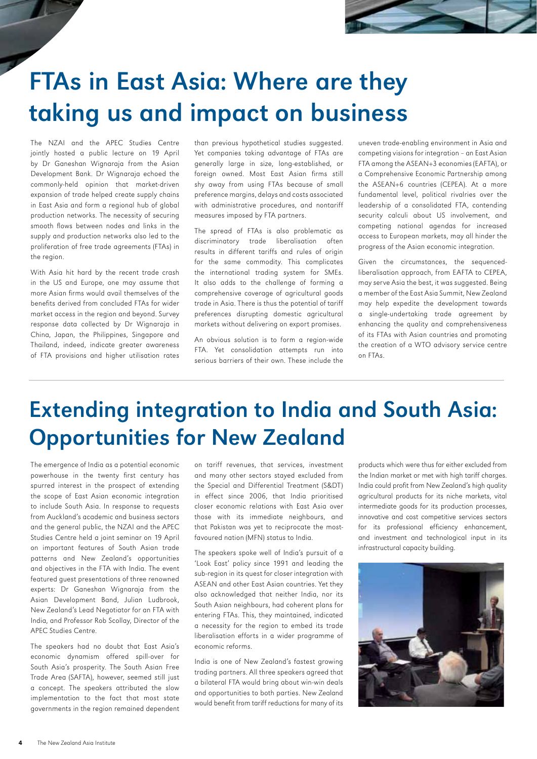

# FTAs in East Asia: Where are they taking us and impact on business

The NZAI and the APEC Studies Centre jointly hosted a public lecture on 19 April by Dr Ganeshan Wignaraja from the Asian Development Bank. Dr Wignaraja echoed the commonly-held opinion that market-driven expansion of trade helped create supply chains in East Asia and form a regional hub of global production networks. The necessity of securing smooth flows between nodes and links in the supply and production networks also led to the proliferation of free trade agreements (FTAs) in the region.

With Asia hit hard by the recent trade crash in the US and Europe, one may assume that more Asian firms would avail themselves of the benefits derived from concluded FTAs for wider market access in the region and beyond. Survey response data collected by Dr Wignaraja in China, Japan, the Philippines, Singapore and Thailand, indeed, indicate greater awareness of FTA provisions and higher utilisation rates

than previous hypothetical studies suggested. Yet companies taking advantage of FTAs are generally large in size, long-established, or foreign owned. Most East Asian firms still shy away from using FTAs because of small preference margins, delays and costs associated with administrative procedures, and nontariff measures imposed by FTA partners.

The spread of FTAs is also problematic as discriminatory trade liberalisation often results in different tariffs and rules of origin for the same commodity. This complicates the international trading system for SMEs. It also adds to the challenge of forming a comprehensive coverage of agricultural goods trade in Asia. There is thus the potential of tariff preferences disrupting domestic agricultural markets without delivering on export promises.

An obvious solution is to form a region-wide FTA. Yet consolidation attempts run into serious barriers of their own. These include the

uneven trade-enabling environment in Asia and competing visions for integration – an East Asian FTA among the ASEAN+3 economies (EAFTA), or a Comprehensive Economic Partnership among the ASEAN+6 countries (CEPEA). At a more fundamental level, political rivalries over the leadership of a consolidated FTA, contending security calculi about US involvement, and competing national agendas for increased access to European markets, may all hinder the progress of the Asian economic integration.

Given the circumstances, the sequencedliberalisation approach, from EAFTA to CEPEA, may serve Asia the best, it was suggested. Being a member of the East Asia Summit, New Zealand may help expedite the development towards a single-undertaking trade agreement by enhancing the quality and comprehensiveness of its FTAs with Asian countries and promoting the creation of a WTO advisory service centre on FTAs.

# Extending integration to India and South Asia: Opportunities for New Zealand

The emergence of India as a potential economic powerhouse in the twenty first century has spurred interest in the prospect of extending the scope of East Asian economic integration to include South Asia. In response to requests from Auckland's academic and business sectors and the general public, the NZAI and the APEC Studies Centre held a joint seminar on 19 April on important features of South Asian trade patterns and New Zealand's opportunities and objectives in the FTA with India. The event featured guest presentations of three renowned experts: Dr Ganeshan Wignaraja from the Asian Development Band, Julian Ludbrook, New Zealand's Lead Negotiator for an FTA with India, and Professor Rob Scollay, Director of the APEC Studies Centre.

The speakers had no doubt that East Asia's economic dynamism offered spill-over for South Asia's prosperity. The South Asian Free Trade Area (SAFTA), however, seemed still just a concept. The speakers attributed the slow implementation to the fact that most state governments in the region remained dependent on tariff revenues, that services, investment and many other sectors stayed excluded from the Special and Differential Treatment (S&DT) in effect since 2006, that India prioritised closer economic relations with East Asia over those with its immediate neighbours, and that Pakistan was yet to reciprocate the mostfavoured nation (MFN) status to India.

The speakers spoke well of India's pursuit of a 'Look East' policy since 1991 and leading the sub-region in its quest for closer integration with ASEAN and other East Asian countries. Yet they also acknowledged that neither India, nor its South Asian neighbours, had coherent plans for entering FTAs. This, they maintained, indicated a necessity for the region to embed its trade liberalisation efforts in a wider programme of economic reforms.

India is one of New Zealand's fastest growing trading partners. All three speakers agreed that a bilateral FTA would bring about win-win deals and opportunities to both parties. New Zealand would benefit from tariff reductions for many of its

products which were thus far either excluded from the Indian market or met with high tariff charges. India could profit from New Zealand's high quality agricultural products for its niche markets, vital intermediate goods for its production processes, innovative and cost competitive services sectors for its professional efficiency enhancement, and investment and technological input in its infrastructural capacity building.

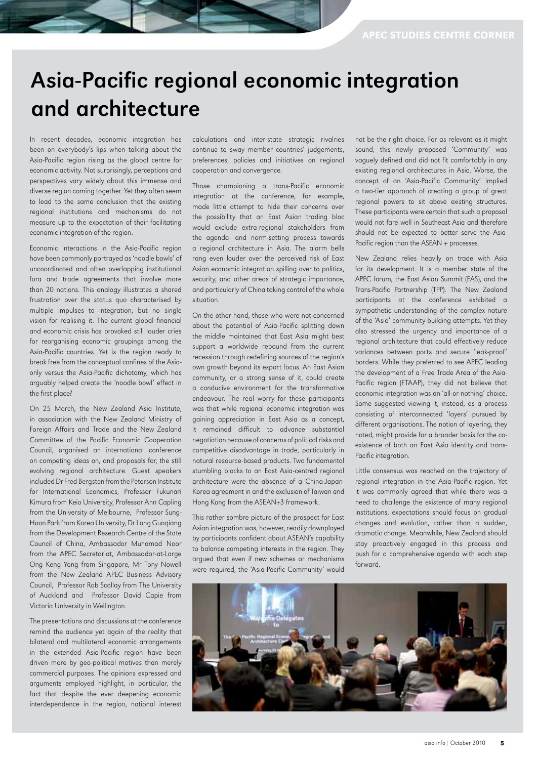# Asia-Pacific regional economic integration and architecture

In recent decades, economic integration has been on everybody's lips when talking about the Asia-Pacific region rising as the global centre for economic activity. Not surprisingly, perceptions and perspectives vary widely about this immense and diverse region coming together. Yet they often seem to lead to the same conclusion that the existing regional institutions and mechanisms do not measure up to the expectation of their facilitating economic integration of the region.

Economic interactions in the Asia-Pacific region have been commonly portrayed as 'noodle bowls' of uncoordinated and often overlapping institutional fora and trade agreements that involve more than 20 nations. This analogy illustrates a shared frustration over the status quo characterised by multiple impulses to integration, but no single vision for realising it. The current global financial and economic crisis has provoked still louder cries for reorganising economic groupings among the Asia-Pacific countries. Yet is the region ready to break free from the conceptual confines of the Asiaonly versus the Asia-Pacific dichotomy, which has arguably helped create the 'noodle bowl' effect in the first place?

On 25 March, the New Zealand Asia Institute, in association with the New Zealand Ministry of Foreign Affairs and Trade and the New Zealand Committee of the Pacific Economic Cooperation Council, organised an international conference on competing ideas on, and proposals for, the still evolving regional architecture. Guest speakers included Dr Fred Bergsten from the Peterson Institute for International Economics, Professor Fukunari Kimura from Keio University, Professor Ann Capling from the University of Melbourne, Professor Sung-Hoon Park from Korea University, Dr Long Guoqiang from the Development Research Centre of the State Council of China, Ambassador Muhamad Noor from the APEC Secretariat, Ambassador-at-Large Ong Keng Yong from Singapore, Mr Tony Nowell from the New Zealand APEC Business Advisory Council, Professor Rob Scollay from The University of Auckland and Professor David Capie from Victoria University in Wellington.

The presentations and discussions at the conference remind the audience yet again of the reality that bilateral and multilateral economic arrangements in the extended Asia-Pacific region have been driven more by geo-political motives than merely commercial purposes. The opinions expressed and arguments employed highlight, in particular, the fact that despite the ever deepening economic interdependence in the region, national interest

calculations and inter-state strategic rivalries continue to sway member countries' judgements, preferences, policies and initiatives on regional cooperation and convergence.

Those championing a trans-Pacific economic integration at the conference, for example, made little attempt to hide their concerns over the possibility that an East Asian trading bloc would exclude extra-regional stakeholders from the agenda- and norm-setting process towards a regional architecture in Asia. The alarm bells rang even louder over the perceived risk of East Asian economic integration spilling over to politics, security, and other areas of strategic importance, and particularly of China taking control of the whole situation.

On the other hand, those who were not concerned about the potential of Asia-Pacific splitting down the middle maintained that East Asia might best support a worldwide rebound from the current recession through redefining sources of the region's own growth beyond its export focus. An East Asian community, or a strong sense of it, could create a conducive environment for the transformative endeavour. The real worry for these participants was that while regional economic integration was gaining appreciation in East Asia as a concept, it remained difficult to advance substantial negotiation because of concerns of political risks and competitive disadvantage in trade, particularly in natural resource-based products. Two fundamental stumbling blocks to an East Asia-centred regional architecture were the absence of a China-Japan-Korea agreement in and the exclusion of Taiwan and Hong Kong from the ASEAN+3 framework.

This rather sombre picture of the prospect for East Asian integration was, however, readily downplayed by participants confident about ASEAN's capability to balance competing interests in the region. They argued that even if new schemes or mechanisms were required, the 'Asia-Pacific Community' would

not be the right choice. For as relevant as it might sound, this newly proposed 'Community' was vaguely defined and did not fit comfortably in any existing regional architectures in Asia. Worse, the concept of an 'Asia-Pacific Community' implied a two-tier approach of creating a group of great regional powers to sit above existing structures. These participants were certain that such a proposal would not fare well in Southeast Asia and therefore should not be expected to better serve the Asia-Pacific region than the ASEAN + processes.

New Zealand relies heavily on trade with Asia for its development. It is a member state of the APEC forum, the East Asian Summit (EAS), and the Trans-Pacific Partnership (TPP). The New Zealand participants at the conference exhibited a sympathetic understanding of the complex nature of the 'Asia' community-building attempts. Yet they also stressed the urgency and importance of a regional architecture that could effectively reduce variances between ports and secure 'leak-proof' borders. While they preferred to see APEC leading the development of a Free Trade Area of the Asia-Pacific region (FTAAP), they did not believe that economic integration was an 'all-or-nothing' choice. Some suggested viewing it, instead, as a process consisting of interconnected 'layers' pursued by different organisations. The notion of layering, they noted, might provide for a broader basis for the coexistence of both an East Asia identity and trans-Pacific integration.

Little consensus was reached on the trajectory of regional integration in the Asia-Pacific region. Yet it was commonly agreed that while there was a need to challenge the existence of many regional institutions, expectations should focus on gradual changes and evolution, rather than a sudden, dramatic change. Meanwhile, New Zealand should stay proactively engaged in this process and push for a comprehensive agenda with each step forward.

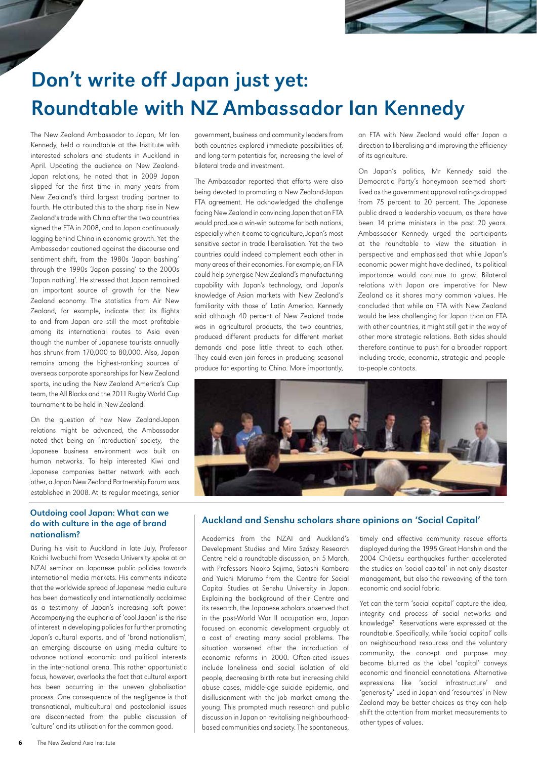

# Don't write off Japan just yet: Roundtable with NZ Ambassador Ian Kennedy

The New Zealand Ambassador to Japan, Mr Ian Kennedy, held a roundtable at the Institute with interested scholars and students in Auckland in April. Updating the audience on New Zealand-Japan relations, he noted that in 2009 Japan slipped for the first time in many years from New Zealand's third largest trading partner to fourth. He attributed this to the sharp rise in New Zealand's trade with China after the two countries signed the FTA in 2008, and to Japan continuously lagging behind China in economic growth. Yet the Ambassador cautioned against the discourse and sentiment shift, from the 1980s 'Japan bashing' through the 1990s 'Japan passing' to the 2000s 'Japan nothing'. He stressed that Japan remained an important source of growth for the New Zealand economy. The statistics from Air New Zealand, for example, indicate that its flights to and from Japan are still the most profitable among its international routes to Asia even though the number of Japanese tourists annually has shrunk from 170,000 to 80,000. Also, Japan remains among the highest-ranking sources of overseas corporate sponsorships for New Zealand sports, including the New Zealand America's Cup team, the All Blacks and the 2011 Rugby World Cup tournament to be held in New Zealand.

On the question of how New Zealand-Japan relations might be advanced, the Ambassador noted that being an 'introduction' society, the Japanese business environment was built on human networks. To help interested Kiwi and Japanese companies better network with each other, a Japan New Zealand Partnership Forum was established in 2008. At its regular meetings, senior

#### Outdoing cool Japan: What can we do with culture in the age of brand nationalism?

During his visit to Auckland in late July, Professor Koichi Iwabuchi from Waseda University spoke at an NZAI seminar on Japanese public policies towards international media markets. His comments indicate that the worldwide spread of Japanese media culture has been domestically and internationally acclaimed as a testimony of Japan's increasing soft power. Accompanying the euphoria of 'cool Japan' is the rise of interest in developing policies for further promoting Japan's cultural exports, and of 'brand nationalism', an emerging discourse on using media culture to advance national economic and political interests in the inter-national arena. This rather opportunistic focus, however, overlooks the fact that cultural export has been occurring in the uneven globalisation process. One consequence of the negligence is that transnational, multicultural and postcolonial issues are disconnected from the public discussion of 'culture' and its utilisation for the common good.

government, business and community leaders from both countries explored immediate possibilities of, and long-term potentials for, increasing the level of bilateral trade and investment.

The Ambassador reported that efforts were also being devoted to promoting a New Zealand-Japan FTA agreement. He acknowledged the challenge facing New Zealand in convincing Japan that an FTA would produce a win-win outcome for both nations, especially when it came to agriculture, Japan's most sensitive sector in trade liberalisation. Yet the two countries could indeed complement each other in many areas of their economies. For example, an FTA could help synergise New Zealand's manufacturing capability with Japan's technology, and Japan's knowledge of Asian markets with New Zealand's familiarity with those of Latin America. Kennedy said although 40 percent of New Zealand trade was in agricultural products, the two countries, produced different products for different market demands and pose little threat to each other. They could even join forces in producing seasonal produce for exporting to China. More importantly,

an FTA with New Zealand would offer Japan a direction to liberalising and improving the efficiency of its agriculture.

On Japan's politics, Mr Kennedy said the Democratic Party's honeymoon seemed shortlived as the government approval ratings dropped from 75 percent to 20 percent. The Japanese public dread a leadership vacuum, as there have been 14 prime ministers in the past 20 years. Ambassador Kennedy urged the participants at the roundtable to view the situation in perspective and emphasised that while Japan's economic power might have declined, its political importance would continue to grow. Bilateral relations with Japan are imperative for New Zealand as it shares many common values. He concluded that while an FTA with New Zealand would be less challenging for Japan than an FTA with other countries, it might still get in the way of other more strategic relations. Both sides should therefore continue to push for a broader rapport including trade, economic, strategic and peopleto-people contacts.



#### Auckland and Senshu scholars share opinions on 'Social Capital'

Academics from the NZAI and Auckland's Development Studies and Mira Szászy Research Centre held a roundtable discussion, on 5 March, with Professors Naoko Sajima, Satoshi Kambara and Yuichi Marumo from the Centre for Social Capital Studies at Senshu University in Japan. Explaining the background of their Centre and its research, the Japanese scholars observed that in the post-World War II occupation era, Japan focused on economic development arguably at a cost of creating many social problems. The situation worsened after the introduction of economic reforms in 2000. Often-cited issues include loneliness and social isolation of old people, decreasing birth rate but increasing child abuse cases, middle-age suicide epidemic, and disillusionment with the job market among the young. This prompted much research and public discussion in Japan on revitalising neighbourhoodbased communities and society. The spontaneous,

timely and effective community rescue efforts displayed during the 1995 Great Hanshin and the 2004 Chūetsu earthquakes further accelerated the studies on 'social capital' in not only disaster management, but also the reweaving of the torn economic and social fabric.

Yet can the term 'social capital' capture the idea, integrity and process of social networks and knowledge? Reservations were expressed at the roundtable. Specifically, while 'social capital' calls on neighbourhood resources and the voluntary community, the concept and purpose may become blurred as the label 'capital' conveys economic and financial connotations. Alternative expressions like 'social infrastructure' and 'generosity' used in Japan and 'resources' in New Zealand may be better choices as they can help shift the attention from market measurements to other types of values.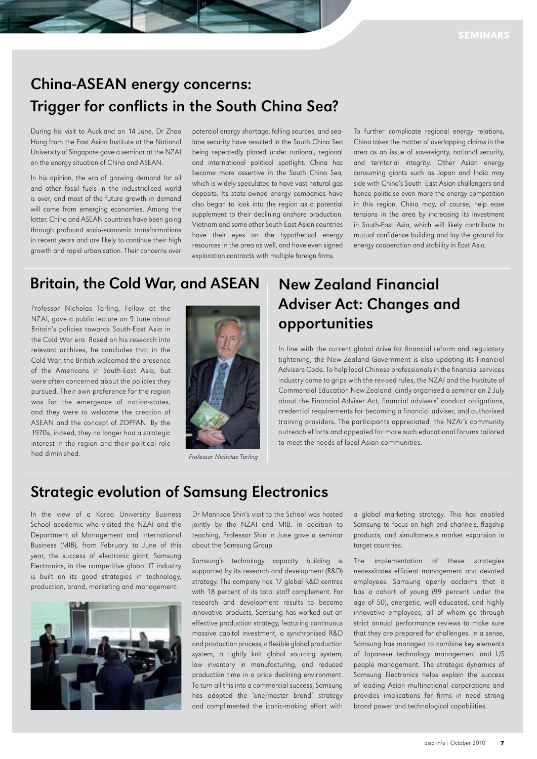## China-ASEAN energy concerns: Trigger for conflicts in the South China Sea?

During his visit to Auckland on 14 June, Dr Zhao Hong from the East Asian Institute at the National University of Singapore gave a seminar at the NZAI on the energy situation of China and ASEAN.

In his opinion, the era of growing demand for oil and other fossil fuels in the industrialised world is over, and most of the future growth in demand will come from emerging economies. Among the latter, China and ASEAN countries have been going through profound socio-economic transformations in recent years and are likely to continue their high growth and rapid urbanisation. Their concerns over

potential energy shortage, falling sources, and sealane security have resulted in the South China Sea being repeatedly placed under national, regional and international political spotlight. China has become more assertive in the South China Sea, which is widely speculated to have vast natural gas deposits. Its state-owned energy companies have also began to look into the region as a potential supplement to their declining onshore production. Vietnam and some other South-East Asian countries have their eyes on the hypothetical energy resources in the area as well, and have even signed exploration contracts with multiple foreign firms.

To further complicate regional energy relations, China takes the matter of overlapping claims in the area as an issue of sovereignty, national security, and territorial integrity. Other Asian energy consuming giants such as Japan and India may side with China's South -East Asian challengers and hence politicise even more the energy competition in this region. China may, of course, help ease tensions in the area by increasing its investment in South-East Asia, which will likely contribute to mutual confidence building and lay the ground for energy cooperation and stability in East Asia.

## Britain, the Cold War, and ASEAN

Professor Nicholas Tarling, Fellow at the NZAI, gave a public lecture on 9 June about Britain's policies towards South-East Asia in the Cold War era. Based on his research into relevant archives, he concludes that in the Cold War, the British welcomed the presence of the Americans in South-East Asia, but were often concerned about the policies they pursued. Their own preference for the region was for the emergence of nation-states, and they were to welcome the creation of ASEAN and the concept of ZOPFAN. By the 1970s, indeed, they no longer had a strategic interest in the region and their political role had diminished.



Professor Nicholas Tarling

## New Zealand Financial Adviser Act: Changes and opportunities

In line with the current global drive for financial reform and regulatory tightening, the New Zealand Government is also updating its Financial Advisers Code. To help local Chinese professionals in the financial services industry come to grips with the revised rules, the NZAI and the Institute of Commercial Education New Zealand jointly organised a seminar on 2 July about the Financial Adviser Act, financial advisers' conduct obligations, credential requirements for becoming a financial adviser, and authorised training providers. The participants appreciated the NZAI's community outreach efforts and appealed for more such educational forums tailored to meet the needs of local Asian communities.

## Strategic evolution of Samsung Electronics

In the view of a Korea University Business School academic who visited the NZAI and the Department of Management and International Business (MIB), from February to June of this year, the success of electronic giant, Samsung Electronics, in the competitive global IT industry is built on its good strategies in technology, production, brand, marketing and management.



Dr Mannsoo Shin's visit to the School was hosted jointly by the NZAI and MIB. In addition to teaching, Professor Shin in June gave a seminar about the Samsung Group.

Samsung's technology capacity building is supported by its research and development (R&D) strategy. The company has 17 global R&D centres with 18 percent of its total staff complement. For research and development results to become innovative products, Samsung has worked out an effective production strategy, featuring continuous massive capital investment, a synchronised R&D and production process, a flexible global production system, a tightly knit global sourcing system, low inventory in manufacturing, and reduced production time in a price declining environment. To turn all this into a commercial success, Samsung has adopted the 'one/master brand' strategy and complimented the iconic-making effort with a global marketing strategy. This has enabled Samsung to focus on high end channels, flagship products, and simultaneous market expansion in target countries.

The implementation of these strategies necessitates efficient management and devoted employees. Samsung openly acclaims that it has a cohort of young (99 percent under the age of 50), energetic, well educated, and highly innovative employees, all of whom go through strict annual performance reviews to make sure that they are prepared for challenges. In a sense, Samsung has managed to combine key elements of Japanese technology management and US people management. The strategic dynamics of Samsung Electronics helps explain the success of leading Asian multinational corporations and provides implications for firms in need strong brand power and technological capabilities.